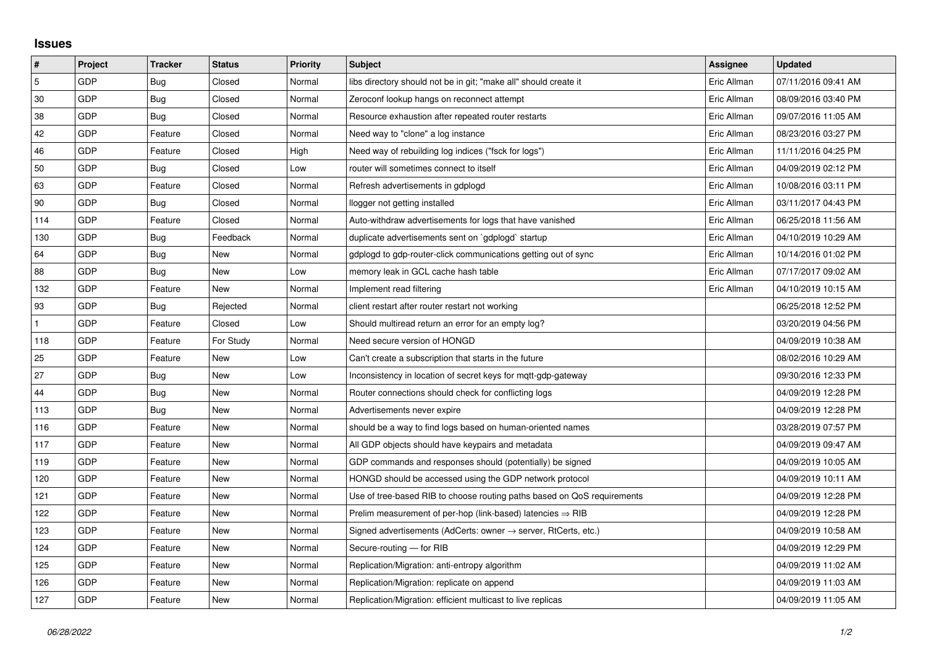## **Issues**

| #   | Project | <b>Tracker</b> | <b>Status</b> | <b>Priority</b> | <b>Subject</b>                                                             | <b>Assignee</b> | <b>Updated</b>      |
|-----|---------|----------------|---------------|-----------------|----------------------------------------------------------------------------|-----------------|---------------------|
| 5   | GDP     | <b>Bug</b>     | Closed        | Normal          | libs directory should not be in git; "make all" should create it           | Eric Allman     | 07/11/2016 09:41 AM |
| 30  | GDP     | <b>Bug</b>     | Closed        | Normal          | Zeroconf lookup hangs on reconnect attempt                                 | Eric Allman     | 08/09/2016 03:40 PM |
| 38  | GDP     | Bug            | Closed        | Normal          | Resource exhaustion after repeated router restarts                         | Eric Allman     | 09/07/2016 11:05 AM |
| 42  | GDP     | Feature        | Closed        | Normal          | Need way to "clone" a log instance                                         | Eric Allman     | 08/23/2016 03:27 PM |
| 46  | GDP     | Feature        | Closed        | High            | Need way of rebuilding log indices ("fsck for logs")                       | Eric Allman     | 11/11/2016 04:25 PM |
| 50  | GDP     | <b>Bug</b>     | Closed        | Low             | router will sometimes connect to itself                                    | Eric Allman     | 04/09/2019 02:12 PM |
| 63  | GDP     | Feature        | Closed        | Normal          | Refresh advertisements in gdplogd                                          | Eric Allman     | 10/08/2016 03:11 PM |
| 90  | GDP     | <b>Bug</b>     | Closed        | Normal          | llogger not getting installed                                              | Eric Allman     | 03/11/2017 04:43 PM |
| 114 | GDP     | Feature        | Closed        | Normal          | Auto-withdraw advertisements for logs that have vanished                   | Eric Allman     | 06/25/2018 11:56 AM |
| 130 | GDP     | Bug            | Feedback      | Normal          | duplicate advertisements sent on `gdplogd` startup                         | Eric Allman     | 04/10/2019 10:29 AM |
| 64  | GDP     | Bug            | New           | Normal          | gdplogd to gdp-router-click communications getting out of sync             | Eric Allman     | 10/14/2016 01:02 PM |
| 88  | GDP     | Bug            | New           | Low             | memory leak in GCL cache hash table                                        | Eric Allman     | 07/17/2017 09:02 AM |
| 132 | GDP     | Feature        | <b>New</b>    | Normal          | Implement read filtering                                                   | Eric Allman     | 04/10/2019 10:15 AM |
| 93  | GDP     | Bug            | Rejected      | Normal          | client restart after router restart not working                            |                 | 06/25/2018 12:52 PM |
|     | GDP     | Feature        | Closed        | Low             | Should multiread return an error for an empty log?                         |                 | 03/20/2019 04:56 PM |
| 118 | GDP     | Feature        | For Study     | Normal          | Need secure version of HONGD                                               |                 | 04/09/2019 10:38 AM |
| 25  | GDP     | Feature        | New           | Low             | Can't create a subscription that starts in the future                      |                 | 08/02/2016 10:29 AM |
| 27  | GDP     | Bug            | New           | Low             | Inconsistency in location of secret keys for mqtt-gdp-gateway              |                 | 09/30/2016 12:33 PM |
| 44  | GDP     | Bug            | New           | Normal          | Router connections should check for conflicting logs                       |                 | 04/09/2019 12:28 PM |
| 113 | GDP     | Bug            | New           | Normal          | Advertisements never expire                                                |                 | 04/09/2019 12:28 PM |
| 116 | GDP     | Feature        | New           | Normal          | should be a way to find logs based on human-oriented names                 |                 | 03/28/2019 07:57 PM |
| 117 | GDP     | Feature        | <b>New</b>    | Normal          | All GDP objects should have keypairs and metadata                          |                 | 04/09/2019 09:47 AM |
| 119 | GDP     | Feature        | New           | Normal          | GDP commands and responses should (potentially) be signed                  |                 | 04/09/2019 10:05 AM |
| 120 | GDP     | Feature        | New           | Normal          | HONGD should be accessed using the GDP network protocol                    |                 | 04/09/2019 10:11 AM |
| 121 | GDP     | Feature        | New           | Normal          | Use of tree-based RIB to choose routing paths based on QoS requirements    |                 | 04/09/2019 12:28 PM |
| 122 | GDP     | Feature        | New           | Normal          | Prelim measurement of per-hop (link-based) latencies $\Rightarrow$ RIB     |                 | 04/09/2019 12:28 PM |
| 123 | GDP     | Feature        | New           | Normal          | Signed advertisements (AdCerts: owner $\rightarrow$ server, RtCerts, etc.) |                 | 04/09/2019 10:58 AM |
| 124 | GDP     | Feature        | <b>New</b>    | Normal          | Secure-routing - for RIB                                                   |                 | 04/09/2019 12:29 PM |
| 125 | GDP     | Feature        | New           | Normal          | Replication/Migration: anti-entropy algorithm                              |                 | 04/09/2019 11:02 AM |
| 126 | GDP     | Feature        | New           | Normal          | Replication/Migration: replicate on append                                 |                 | 04/09/2019 11:03 AM |
| 127 | GDP     | Feature        | New           | Normal          | Replication/Migration: efficient multicast to live replicas                |                 | 04/09/2019 11:05 AM |